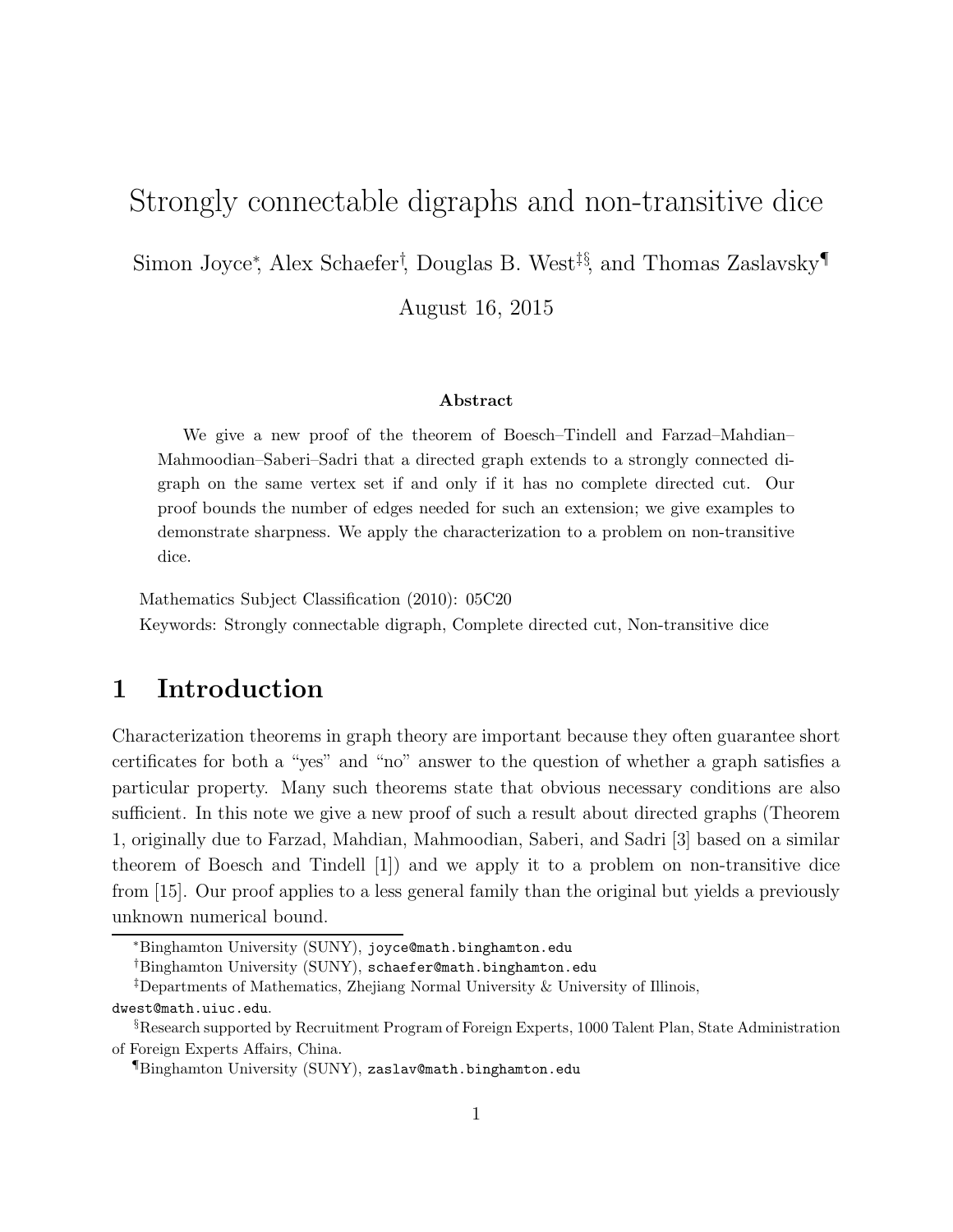# Strongly connectable digraphs and non-transitive dice

Simon Joyce<sup>∗</sup> , Alex Schaefer† , Douglas B. West‡§, and Thomas Zaslavsky¶

August 16, 2015

#### Abstract

We give a new proof of the theorem of Boesch–Tindell and Farzad–Mahdian– Mahmoodian–Saberi–Sadri that a directed graph extends to a strongly connected digraph on the same vertex set if and only if it has no complete directed cut. Our proof bounds the number of edges needed for such an extension; we give examples to demonstrate sharpness. We apply the characterization to a problem on non-transitive dice.

Mathematics Subject Classification (2010): 05C20

Keywords: Strongly connectable digraph, Complete directed cut, Non-transitive dice

## 1 Introduction

Characterization theorems in graph theory are important because they often guarantee short certificates for both a "yes" and "no" answer to the question of whether a graph satisfies a particular property. Many such theorems state that obvious necessary conditions are also sufficient. In this note we give a new proof of such a result about directed graphs (Theorem 1, originally due to Farzad, Mahdian, Mahmoodian, Saberi, and Sadri [3] based on a similar theorem of Boesch and Tindell [1]) and we apply it to a problem on non-transitive dice from [15]. Our proof applies to a less general family than the original but yields a previously unknown numerical bound.

<sup>∗</sup>Binghamton University (SUNY), joyce@math.binghamton.edu

<sup>†</sup>Binghamton University (SUNY), schaefer@math.binghamton.edu

<sup>‡</sup>Departments of Mathematics, Zhejiang Normal University & University of Illinois,

dwest@math.uiuc.edu.

<sup>§</sup>Research supported by Recruitment Program of Foreign Experts, 1000 Talent Plan, State Administration of Foreign Experts Affairs, China.

<sup>¶</sup>Binghamton University (SUNY), zaslav@math.binghamton.edu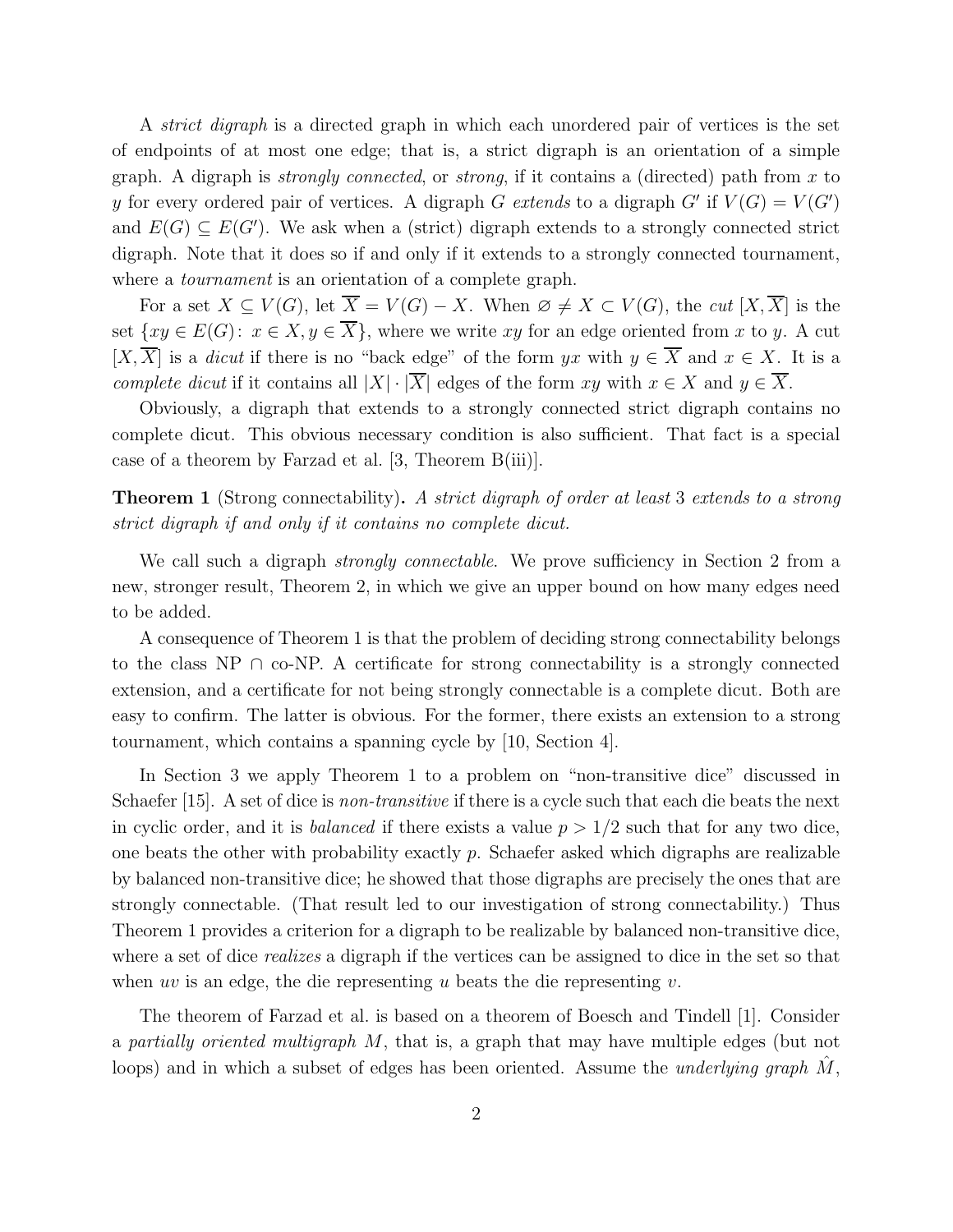A *strict digraph* is a directed graph in which each unordered pair of vertices is the set of endpoints of at most one edge; that is, a strict digraph is an orientation of a simple graph. A digraph is *strongly connected*, or *strong*, if it contains a (directed) path from x to y for every ordered pair of vertices. A digraph G *extends* to a digraph G' if  $V(G) = V(G')$ and  $E(G) \subseteq E(G')$ . We ask when a (strict) digraph extends to a strongly connected strict digraph. Note that it does so if and only if it extends to a strongly connected tournament, where a *tournament* is an orientation of a complete graph.

For a set  $X \subseteq V(G)$ , let  $\overline{X} = V(G) - X$ . When  $\emptyset \neq X \subset V(G)$ , the *cut*  $[X, \overline{X}]$  is the set  $\{xy \in E(G): x \in X, y \in \overline{X}\}\,$ , where we write xy for an edge oriented from x to y. A cut  $[X,\overline{X}]$  is a *dicut* if there is no "back edge" of the form yx with  $y \in \overline{X}$  and  $x \in X$ . It is a *complete dicut* if it contains all  $|X| \cdot |\overline{X}|$  edges of the form xy with  $x \in X$  and  $y \in \overline{X}$ .

Obviously, a digraph that extends to a strongly connected strict digraph contains no complete dicut. This obvious necessary condition is also sufficient. That fact is a special case of a theorem by Farzad et al. [3, Theorem B(iii)].

Theorem 1 (Strong connectability). *A strict digraph of order at least* 3 *extends to a strong strict digraph if and only if it contains no complete dicut.*

We call such a digraph *strongly connectable*. We prove sufficiency in Section 2 from a new, stronger result, Theorem 2, in which we give an upper bound on how many edges need to be added.

A consequence of Theorem 1 is that the problem of deciding strong connectability belongs to the class NP ∩ co-NP. A certificate for strong connectability is a strongly connected extension, and a certificate for not being strongly connectable is a complete dicut. Both are easy to confirm. The latter is obvious. For the former, there exists an extension to a strong tournament, which contains a spanning cycle by [10, Section 4].

In Section 3 we apply Theorem 1 to a problem on "non-transitive dice" discussed in Schaefer [15]. A set of dice is *non-transitive* if there is a cycle such that each die beats the next in cyclic order, and it is *balanced* if there exists a value  $p > 1/2$  such that for any two dice, one beats the other with probability exactly  $p$ . Schaefer asked which digraphs are realizable by balanced non-transitive dice; he showed that those digraphs are precisely the ones that are strongly connectable. (That result led to our investigation of strong connectability.) Thus Theorem 1 provides a criterion for a digraph to be realizable by balanced non-transitive dice, where a set of dice *realizes* a digraph if the vertices can be assigned to dice in the set so that when uv is an edge, the die representing u beats the die representing  $v$ .

The theorem of Farzad et al. is based on a theorem of Boesch and Tindell [1]. Consider a *partially oriented multigraph* M, that is, a graph that may have multiple edges (but not loops) and in which a subset of edges has been oriented. Assume the *underlying graph* M,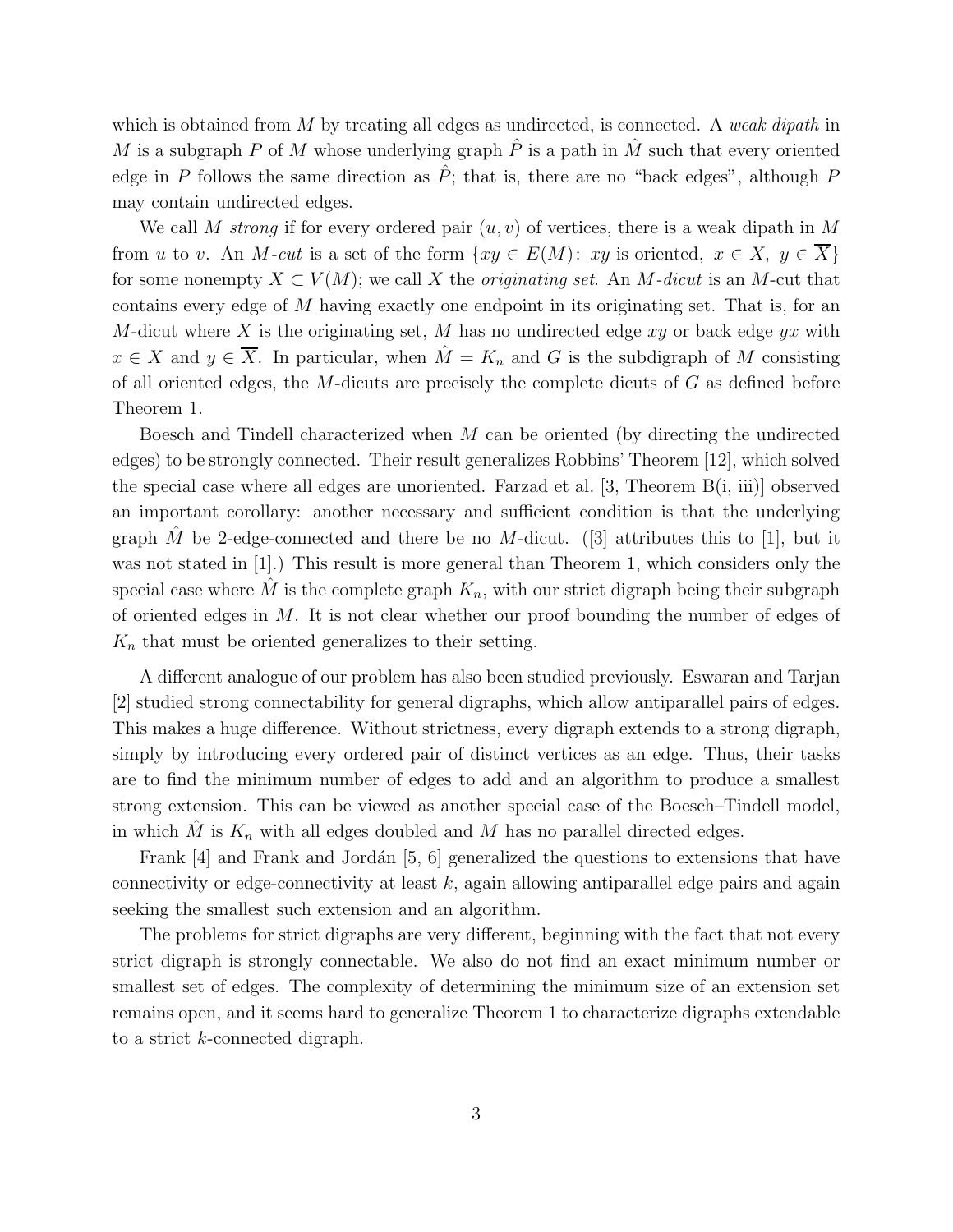which is obtained from M by treating all edges as undirected, is connected. A *weak dipath* in M is a subgraph P of M whose underlying graph  $\hat{P}$  is a path in  $\hat{M}$  such that every oriented edge in P follows the same direction as  $\hat{P}$ ; that is, there are no "back edges", although P may contain undirected edges.

We call M *strong* if for every ordered pair  $(u, v)$  of vertices, there is a weak dipath in M from u to v. An M-cut is a set of the form  $\{xy \in E(M): xy$  is oriented,  $x \in X, y \in X\}$ for some nonempty  $X \subset V(M)$ ; we call X the *originating set*. An M-dicut is an M-cut that contains every edge of M having exactly one endpoint in its originating set. That is, for an M-dicut where X is the originating set, M has no undirected edge xy or back edge  $yx$  with  $x \in X$  and  $y \in \overline{X}$ . In particular, when  $\hat{M} = K_n$  and G is the subdigraph of M consisting of all oriented edges, the  $M$ -dicuts are precisely the complete dicuts of  $G$  as defined before Theorem 1.

Boesch and Tindell characterized when  $M$  can be oriented (by directing the undirected edges) to be strongly connected. Their result generalizes Robbins' Theorem [12], which solved the special case where all edges are unoriented. Farzad et al.  $[3,$  Theorem  $B(i, ii)$  observed an important corollary: another necessary and sufficient condition is that the underlying graph  $\tilde{M}$  be 2-edge-connected and there be no  $M$ -dicut. ([3] attributes this to [1], but it was not stated in [1].) This result is more general than Theorem 1, which considers only the special case where M is the complete graph  $K_n$ , with our strict digraph being their subgraph of oriented edges in  $M$ . It is not clear whether our proof bounding the number of edges of  $K_n$  that must be oriented generalizes to their setting.

A different analogue of our problem has also been studied previously. Eswaran and Tarjan [2] studied strong connectability for general digraphs, which allow antiparallel pairs of edges. This makes a huge difference. Without strictness, every digraph extends to a strong digraph, simply by introducing every ordered pair of distinct vertices as an edge. Thus, their tasks are to find the minimum number of edges to add and an algorithm to produce a smallest strong extension. This can be viewed as another special case of the Boesch–Tindell model, in which  $\tilde{M}$  is  $K_n$  with all edges doubled and  $\tilde{M}$  has no parallel directed edges.

Frank  $[4]$  and Frank and Jordán  $[5, 6]$  generalized the questions to extensions that have connectivity or edge-connectivity at least  $k$ , again allowing antiparallel edge pairs and again seeking the smallest such extension and an algorithm.

The problems for strict digraphs are very different, beginning with the fact that not every strict digraph is strongly connectable. We also do not find an exact minimum number or smallest set of edges. The complexity of determining the minimum size of an extension set remains open, and it seems hard to generalize Theorem 1 to characterize digraphs extendable to a strict k-connected digraph.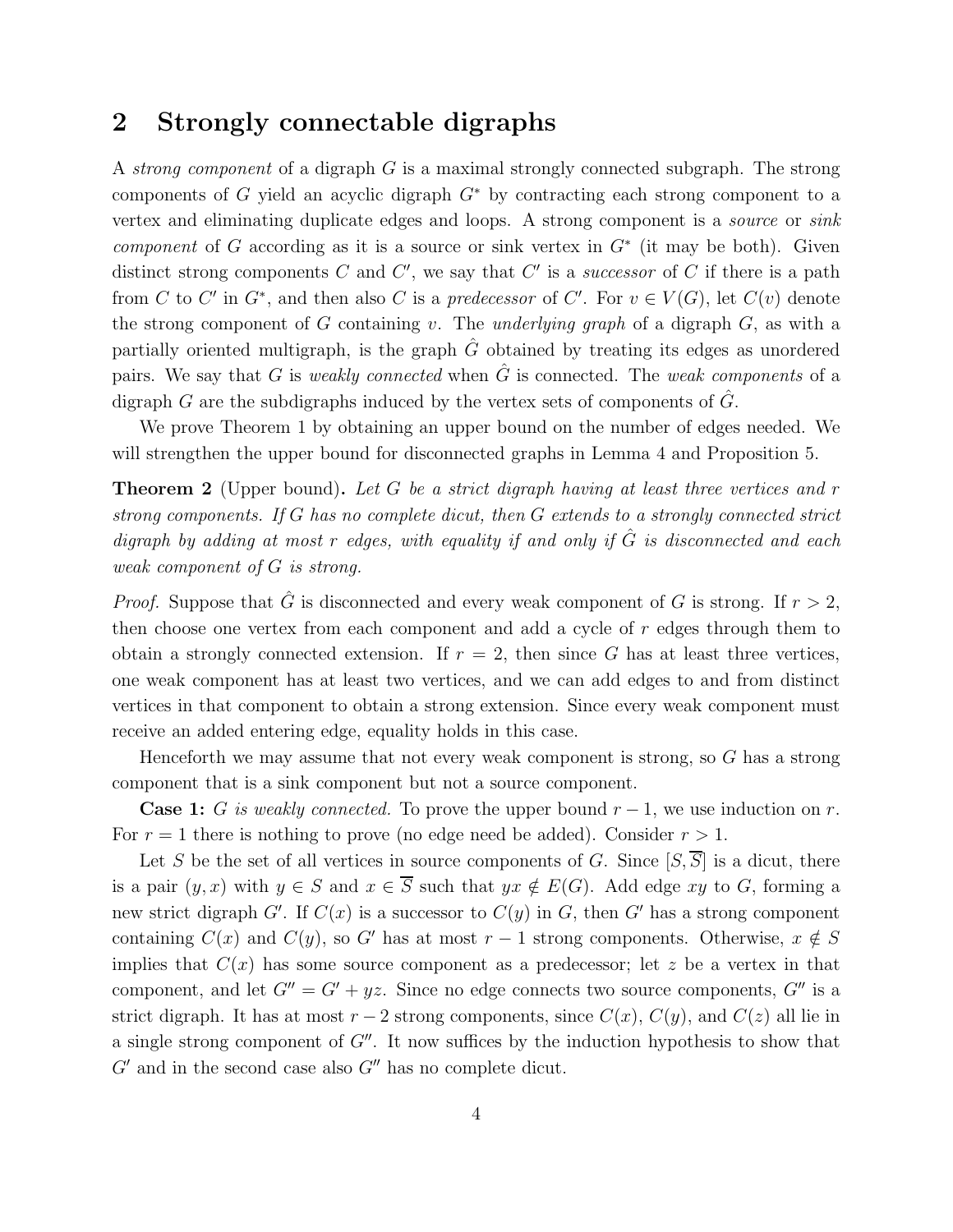### 2 Strongly connectable digraphs

A *strong component* of a digraph G is a maximal strongly connected subgraph. The strong components of G yield an acyclic digraph  $G^*$  by contracting each strong component to a vertex and eliminating duplicate edges and loops. A strong component is a *source* or *sink component* of G according as it is a source or sink vertex in  $G^*$  (it may be both). Given distinct strong components  $C$  and  $C'$ , we say that  $C'$  is a *successor* of  $C$  if there is a path from C to C' in  $G^*$ , and then also C is a *predecessor* of C'. For  $v \in V(G)$ , let  $C(v)$  denote the strong component of G containing v. The *underlying graph* of a digraph G, as with a partially oriented multigraph, is the graph  $\tilde{G}$  obtained by treating its edges as unordered pairs. We say that G is *weakly connected* when  $\hat{G}$  is connected. The *weak components* of a digraph G are the subdigraphs induced by the vertex sets of components of  $\tilde{G}$ .

We prove Theorem 1 by obtaining an upper bound on the number of edges needed. We will strengthen the upper bound for disconnected graphs in Lemma 4 and Proposition 5.

Theorem 2 (Upper bound). *Let* G *be a strict digraph having at least three vertices and* r *strong components. If* G *has no complete dicut, then* G *extends to a strongly connected strict digraph by adding at most* r *edges, with equality if and only if* Gˆ *is disconnected and each weak component of* G *is strong.*

*Proof.* Suppose that  $\hat{G}$  is disconnected and every weak component of G is strong. If  $r > 2$ , then choose one vertex from each component and add a cycle of r edges through them to obtain a strongly connected extension. If  $r = 2$ , then since G has at least three vertices, one weak component has at least two vertices, and we can add edges to and from distinct vertices in that component to obtain a strong extension. Since every weak component must receive an added entering edge, equality holds in this case.

Henceforth we may assume that not every weak component is strong, so G has a strong component that is a sink component but not a source component.

**Case 1:** G is weakly connected. To prove the upper bound  $r-1$ , we use induction on r. For  $r = 1$  there is nothing to prove (no edge need be added). Consider  $r > 1$ .

Let S be the set of all vertices in source components of G. Since  $[S,\overline{S}]$  is a dicut, there is a pair  $(y, x)$  with  $y \in S$  and  $x \in \overline{S}$  such that  $yx \notin E(G)$ . Add edge xy to G, forming a new strict digraph  $G'$ . If  $C(x)$  is a successor to  $C(y)$  in G, then G' has a strong component containing  $C(x)$  and  $C(y)$ , so G' has at most  $r-1$  strong components. Otherwise,  $x \notin S$ implies that  $C(x)$  has some source component as a predecessor; let z be a vertex in that component, and let  $G'' = G' + yz$ . Since no edge connects two source components,  $G''$  is a strict digraph. It has at most  $r - 2$  strong components, since  $C(x)$ ,  $C(y)$ , and  $C(z)$  all lie in a single strong component of  $G''$ . It now suffices by the induction hypothesis to show that  $G'$  and in the second case also  $G''$  has no complete dicut.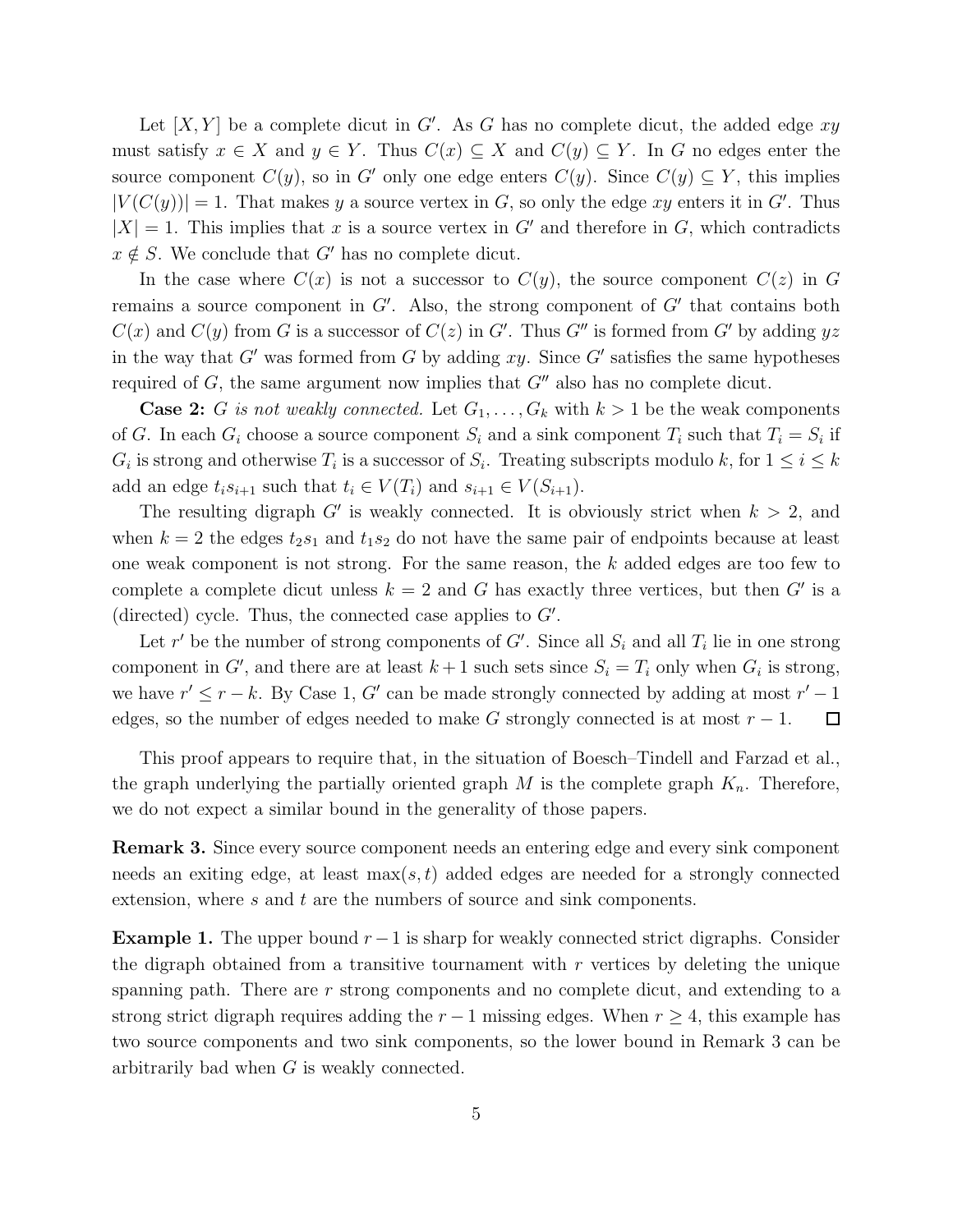Let  $[X, Y]$  be a complete dicut in G'. As G has no complete dicut, the added edge xy must satisfy  $x \in X$  and  $y \in Y$ . Thus  $C(x) \subseteq X$  and  $C(y) \subseteq Y$ . In G no edges enter the source component  $C(y)$ , so in G' only one edge enters  $C(y)$ . Since  $C(y) \subseteq Y$ , this implies  $|V(C(y))|=1$ . That makes y a source vertex in G, so only the edge xy enters it in G'. Thus  $|X| = 1$ . This implies that x is a source vertex in G' and therefore in G, which contradicts  $x \notin S$ . We conclude that G' has no complete dicut.

In the case where  $C(x)$  is not a successor to  $C(y)$ , the source component  $C(z)$  in G remains a source component in  $G'$ . Also, the strong component of  $G'$  that contains both  $C(x)$  and  $C(y)$  from G is a successor of  $C(z)$  in G'. Thus G'' is formed from G' by adding yz in the way that  $G'$  was formed from  $G$  by adding  $xy$ . Since  $G'$  satisfies the same hypotheses required of G, the same argument now implies that  $G''$  also has no complete dicut.

**Case 2:** G is not weakly connected. Let  $G_1, \ldots, G_k$  with  $k > 1$  be the weak components of G. In each  $G_i$  choose a source component  $S_i$  and a sink component  $T_i$  such that  $T_i = S_i$  if  $G_i$  is strong and otherwise  $T_i$  is a successor of  $S_i$ . Treating subscripts modulo k, for  $1 \leq i \leq k$ add an edge  $t_i s_{i+1}$  such that  $t_i \in V(T_i)$  and  $s_{i+1} \in V(S_{i+1})$ .

The resulting digraph  $G'$  is weakly connected. It is obviously strict when  $k > 2$ , and when  $k = 2$  the edges  $t_2s_1$  and  $t_1s_2$  do not have the same pair of endpoints because at least one weak component is not strong. For the same reason, the k added edges are too few to complete a complete dicut unless  $k = 2$  and G has exactly three vertices, but then G' is a (directed) cycle. Thus, the connected case applies to  $G'$ .

Let r' be the number of strong components of  $G'$ . Since all  $S_i$  and all  $T_i$  lie in one strong component in G', and there are at least  $k+1$  such sets since  $S_i = T_i$  only when  $G_i$  is strong, we have  $r' \leq r - k$ . By Case 1, G' can be made strongly connected by adding at most  $r' - 1$ edges, so the number of edges needed to make G strongly connected is at most  $r - 1$ .  $\Box$ 

This proof appears to require that, in the situation of Boesch–Tindell and Farzad et al., the graph underlying the partially oriented graph  $M$  is the complete graph  $K_n$ . Therefore, we do not expect a similar bound in the generality of those papers.

Remark 3. Since every source component needs an entering edge and every sink component needs an exiting edge, at least  $\max(s, t)$  added edges are needed for a strongly connected extension, where s and t are the numbers of source and sink components.

**Example 1.** The upper bound  $r-1$  is sharp for weakly connected strict digraphs. Consider the digraph obtained from a transitive tournament with  $r$  vertices by deleting the unique spanning path. There are  $r$  strong components and no complete dicut, and extending to a strong strict digraph requires adding the  $r - 1$  missing edges. When  $r \geq 4$ , this example has two source components and two sink components, so the lower bound in Remark 3 can be arbitrarily bad when G is weakly connected.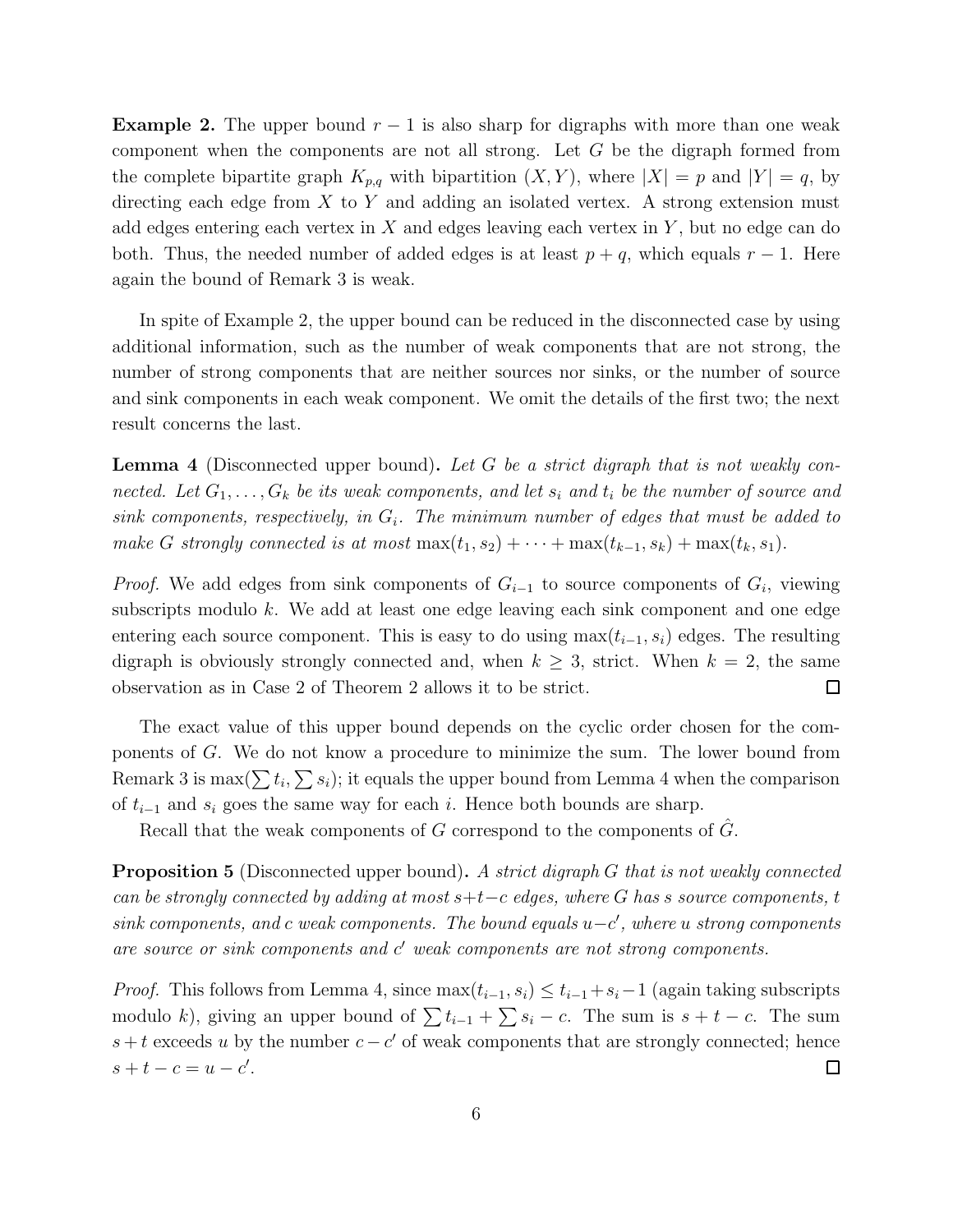**Example 2.** The upper bound  $r - 1$  is also sharp for digraphs with more than one weak component when the components are not all strong. Let G be the digraph formed from the complete bipartite graph  $K_{p,q}$  with bipartition  $(X, Y)$ , where  $|X| = p$  and  $|Y| = q$ , by directing each edge from  $X$  to  $Y$  and adding an isolated vertex. A strong extension must add edges entering each vertex in  $X$  and edges leaving each vertex in  $Y$ , but no edge can do both. Thus, the needed number of added edges is at least  $p + q$ , which equals  $r - 1$ . Here again the bound of Remark 3 is weak.

In spite of Example 2, the upper bound can be reduced in the disconnected case by using additional information, such as the number of weak components that are not strong, the number of strong components that are neither sources nor sinks, or the number of source and sink components in each weak component. We omit the details of the first two; the next result concerns the last.

Lemma 4 (Disconnected upper bound). *Let* G *be a strict digraph that is not weakly connected.* Let  $G_1, \ldots, G_k$  be its weak components, and let  $s_i$  and  $t_i$  be the number of source and  $sink\ components, respectively, in  $G_i$ . The minimum number of edges that must be added to$ *make* G *strongly connected is at most*  $\max(t_1, s_2) + \cdots + \max(t_{k-1}, s_k) + \max(t_k, s_1)$ .

*Proof.* We add edges from sink components of  $G_{i-1}$  to source components of  $G_i$ , viewing subscripts modulo  $k$ . We add at least one edge leaving each sink component and one edge entering each source component. This is easy to do using  $\max(t_{i-1}, s_i)$  edges. The resulting digraph is obviously strongly connected and, when  $k \geq 3$ , strict. When  $k = 2$ , the same observation as in Case 2 of Theorem 2 allows it to be strict.  $\Box$ 

The exact value of this upper bound depends on the cyclic order chosen for the components of G. We do not know a procedure to minimize the sum. The lower bound from Remark 3 is max $(\sum t_i, \sum s_i)$ ; it equals the upper bound from Lemma 4 when the comparison of  $t_{i-1}$  and  $s_i$  goes the same way for each i. Hence both bounds are sharp.

Recall that the weak components of G correspond to the components of  $\hat{G}$ .

Proposition 5 (Disconnected upper bound). *A strict digraph* G *that is not weakly connected can be strongly connected by adding at most* s+t−c *edges, where* G *has* s *source components,* t *sink components, and* c *weak components. The bound equals* u−c ′ *, where* u *strong components* are source or sink components and  $c'$  weak components are not strong components.

*Proof.* This follows from Lemma 4, since  $\max(t_{i-1}, s_i) \leq t_{i-1} + s_i - 1$  (again taking subscripts modulo k), giving an upper bound of  $\sum t_{i-1} + \sum s_i - c$ . The sum is  $s + t - c$ . The sum  $s + t$  exceeds u by the number  $c - c'$  of weak components that are strongly connected; hence  $s + t - c = u - c'$ .  $\Box$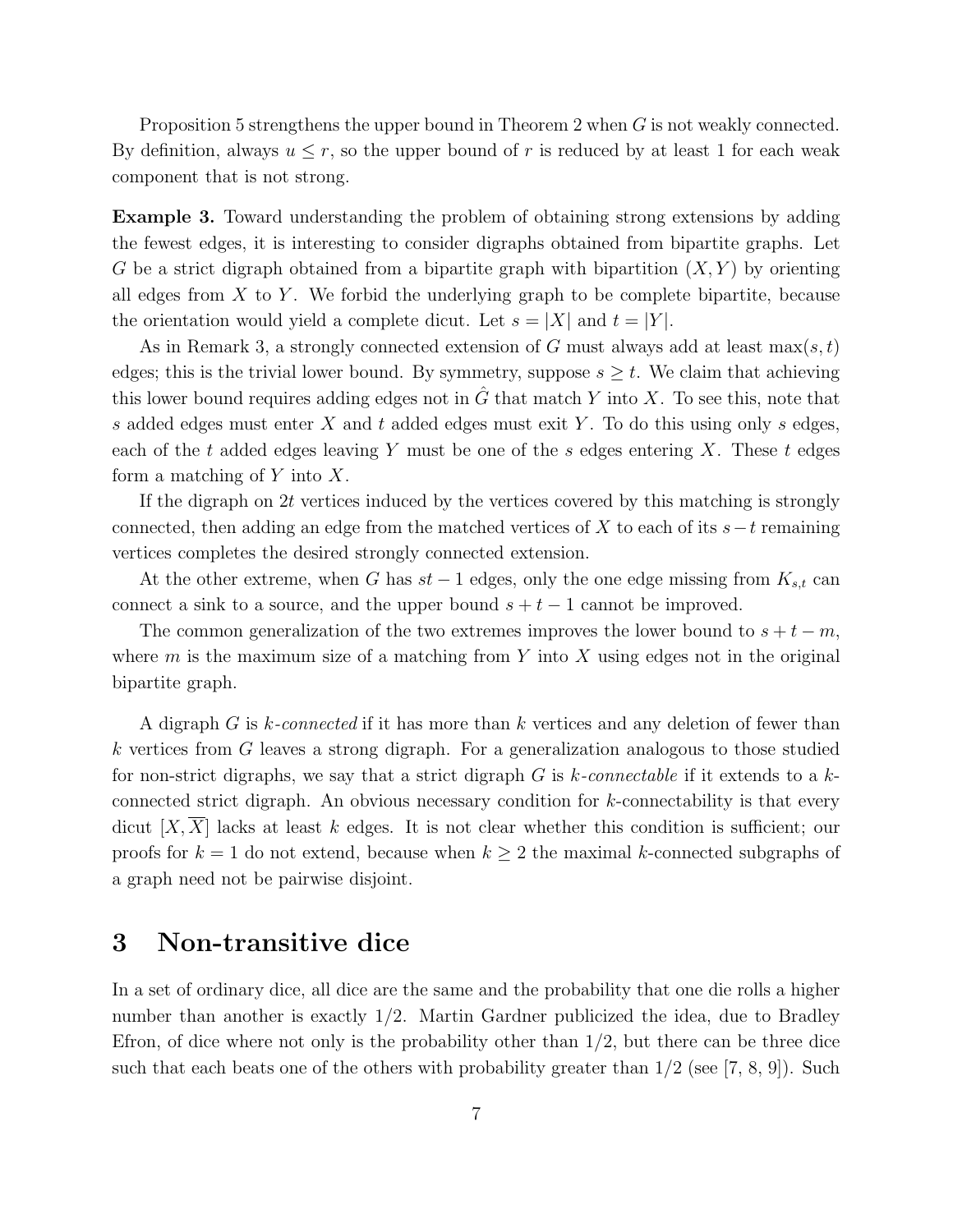Proposition 5 strengthens the upper bound in Theorem 2 when  $G$  is not weakly connected. By definition, always  $u \leq r$ , so the upper bound of r is reduced by at least 1 for each weak component that is not strong.

Example 3. Toward understanding the problem of obtaining strong extensions by adding the fewest edges, it is interesting to consider digraphs obtained from bipartite graphs. Let G be a strict digraph obtained from a bipartite graph with bipartition  $(X, Y)$  by orienting all edges from  $X$  to  $Y$ . We forbid the underlying graph to be complete bipartite, because the orientation would yield a complete dicut. Let  $s = |X|$  and  $t = |Y|$ .

As in Remark 3, a strongly connected extension of G must always add at least  $\max(s,t)$ edges; this is the trivial lower bound. By symmetry, suppose  $s \geq t$ . We claim that achieving this lower bound requires adding edges not in  $\tilde{G}$  that match Y into X. To see this, note that s added edges must enter  $X$  and  $t$  added edges must exit  $Y$ . To do this using only s edges, each of the t added edges leaving Y must be one of the s edges entering X. These t edges form a matching of  $Y$  into  $X$ .

If the digraph on  $2t$  vertices induced by the vertices covered by this matching is strongly connected, then adding an edge from the matched vertices of X to each of its  $s-t$  remaining vertices completes the desired strongly connected extension.

At the other extreme, when G has  $st-1$  edges, only the one edge missing from  $K_{s,t}$  can connect a sink to a source, and the upper bound  $s + t - 1$  cannot be improved.

The common generalization of the two extremes improves the lower bound to  $s + t - m$ , where  $m$  is the maximum size of a matching from Y into X using edges not in the original bipartite graph.

A digraph G is k*-connected* if it has more than k vertices and any deletion of fewer than k vertices from G leaves a strong digraph. For a generalization analogous to those studied for non-strict digraphs, we say that a strict digraph G is k*-connectable* if it extends to a kconnected strict digraph. An obvious necessary condition for k-connectability is that every dicut  $[X,\overline{X}]$  lacks at least k edges. It is not clear whether this condition is sufficient; our proofs for  $k = 1$  do not extend, because when  $k \geq 2$  the maximal k-connected subgraphs of a graph need not be pairwise disjoint.

### 3 Non-transitive dice

In a set of ordinary dice, all dice are the same and the probability that one die rolls a higher number than another is exactly 1/2. Martin Gardner publicized the idea, due to Bradley Efron, of dice where not only is the probability other than  $1/2$ , but there can be three dice such that each beats one of the others with probability greater than  $1/2$  (see [7, 8, 9]). Such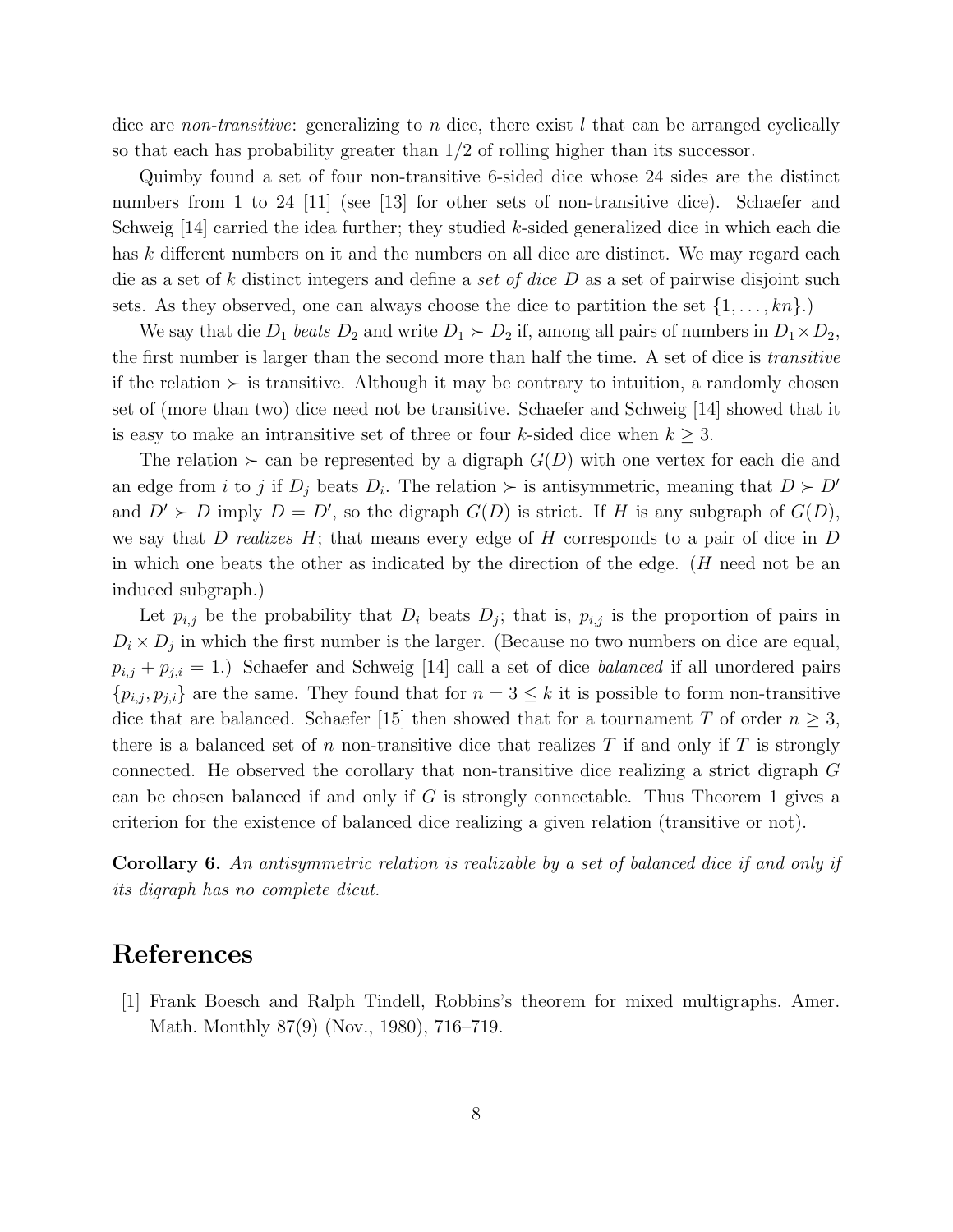dice are *non-transitive*: generalizing to n dice, there exist l that can be arranged cyclically so that each has probability greater than 1/2 of rolling higher than its successor.

Quimby found a set of four non-transitive 6-sided dice whose 24 sides are the distinct numbers from 1 to 24 [11] (see [13] for other sets of non-transitive dice). Schaefer and Schweig [14] carried the idea further; they studied k-sided generalized dice in which each die has k different numbers on it and the numbers on all dice are distinct. We may regard each die as a set of k distinct integers and define a *set of dice* D as a set of pairwise disjoint such sets. As they observed, one can always choose the dice to partition the set  $\{1, \ldots, kn\}$ .

We say that die  $D_1$  *beats*  $D_2$  and write  $D_1 \succ D_2$  if, among all pairs of numbers in  $D_1 \times D_2$ , the first number is larger than the second more than half the time. A set of dice is *transitive* if the relation  $\succ$  is transitive. Although it may be contrary to intuition, a randomly chosen set of (more than two) dice need not be transitive. Schaefer and Schweig [14] showed that it is easy to make an intransitive set of three or four k-sided dice when  $k \geq 3$ .

The relation  $\succ$  can be represented by a digraph  $G(D)$  with one vertex for each die and an edge from *i* to *j* if  $D_j$  beats  $D_i$ . The relation  $\succ$  is antisymmetric, meaning that  $D \succ D'$ and  $D' \succ D$  imply  $D = D'$ , so the digraph  $G(D)$  is strict. If H is any subgraph of  $G(D)$ , we say that D *realizes* H; that means every edge of H corresponds to a pair of dice in D in which one beats the other as indicated by the direction of the edge.  $(H \text{ need not be an})$ induced subgraph.)

Let  $p_{i,j}$  be the probability that  $D_i$  beats  $D_j$ ; that is,  $p_{i,j}$  is the proportion of pairs in  $D_i \times D_j$  in which the first number is the larger. (Because no two numbers on dice are equal,  $p_{i,j} + p_{j,i} = 1$ .) Schaefer and Schweig [14] call a set of dice *balanced* if all unordered pairs  $\{p_{i,j}, p_{j,i}\}\$ are the same. They found that for  $n = 3 \leq k$  it is possible to form non-transitive dice that are balanced. Schaefer [15] then showed that for a tournament T of order  $n \geq 3$ , there is a balanced set of n non-transitive dice that realizes T if and only if T is strongly connected. He observed the corollary that non-transitive dice realizing a strict digraph G can be chosen balanced if and only if  $G$  is strongly connectable. Thus Theorem 1 gives a criterion for the existence of balanced dice realizing a given relation (transitive or not).

Corollary 6. *An antisymmetric relation is realizable by a set of balanced dice if and only if its digraph has no complete dicut.*

#### References

[1] Frank Boesch and Ralph Tindell, Robbins's theorem for mixed multigraphs. Amer. Math. Monthly 87(9) (Nov., 1980), 716–719.